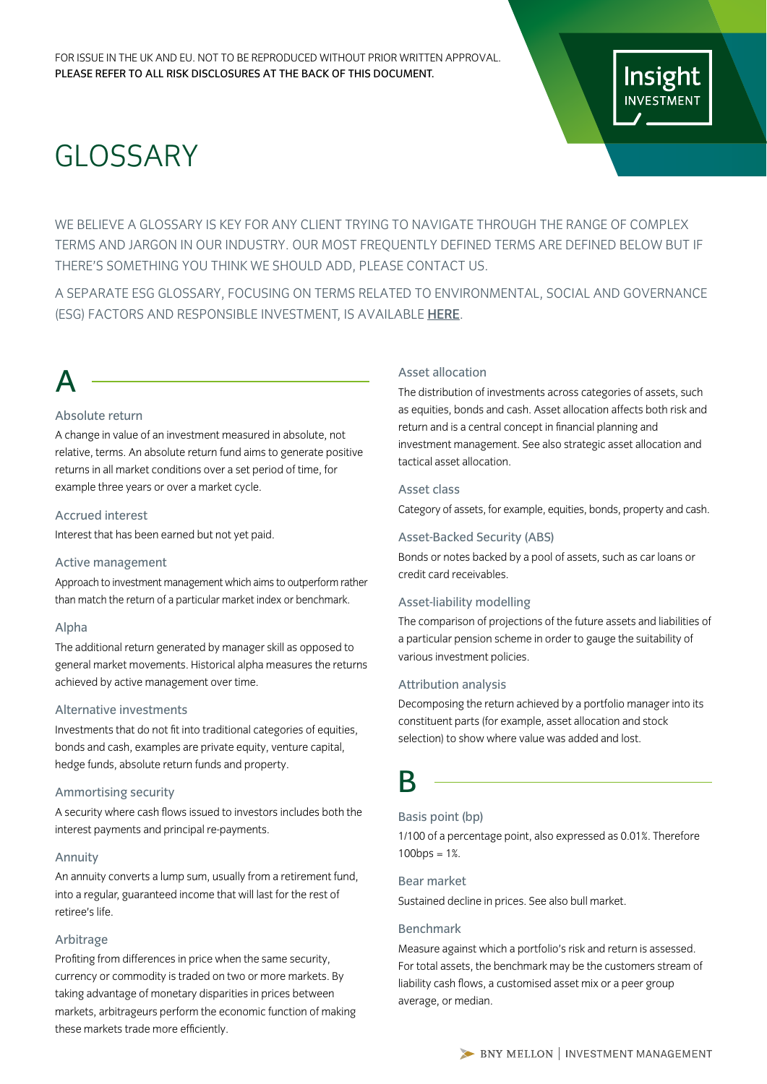# GLOSSARY

WE BELIEVE A GLOSSARY IS KEY FOR ANY CLIENT TRYING TO NAVIGATE THROUGH THE RANGE OF COMPLEX TERMS AND JARGON IN OUR INDUSTRY. OUR MOST FREQUENTLY DEFINED TERMS ARE DEFINED BELOW BUT IF THERE'S SOMETHING YOU THINK WE SHOULD ADD, PLEASE CONTACT US.

A SEPARATE ESG GLOSSARY, FOCUSING ON TERMS RELATED TO ENVIRONMENTAL, SOCIAL AND GOVERNANCE (ESG) FACTORS AND RESPONSIBLE INVESTMENT, IS AVAILABLE [HERE](https://www.insightinvestment.com/globalassets/documents/useful-investor-information/esg-glossary.pdf).

# A

## Absolute return

A change in value of an investment measured in absolute, not relative, terms. An absolute return fund aims to generate positive returns in all market conditions over a set period of time, for example three years or over a market cycle.

## Accrued interest

Interest that has been earned but not yet paid.

## Active management

Approach to investment management which aims to outperform rather than match the return of a particular market index or benchmark.

## Alpha

The additional return generated by manager skill as opposed to general market movements. Historical alpha measures the returns achieved by active management over time.

## Alternative investments

Investments that do not fit into traditional categories of equities, bonds and cash, examples are private equity, venture capital, hedge funds, absolute return funds and property.

## Ammortising security

A security where cash flows issued to investors includes both the interest payments and principal re-payments.

## Annuity

An annuity converts a lump sum, usually from a retirement fund, into a regular, guaranteed income that will last for the rest of retiree's life.

## Arbitrage

Profiting from differences in price when the same security, currency or commodity is traded on two or more markets. By taking advantage of monetary disparities in prices between markets, arbitrageurs perform the economic function of making these markets trade more efficiently.

## Asset allocation

The distribution of investments across categories of assets, such as equities, bonds and cash. Asset allocation affects both risk and return and is a central concept in financial planning and investment management. See also strategic asset allocation and tactical asset allocation.

## Asset class

Category of assets, for example, equities, bonds, property and cash.

## Asset-Backed Security (ABS)

Bonds or notes backed by a pool of assets, such as car loans or credit card receivables.

## Asset-liability modelling

The comparison of projections of the future assets and liabilities of a particular pension scheme in order to gauge the suitability of various investment policies.

## Attribution analysis

Decomposing the return achieved by a portfolio manager into its constituent parts (for example, asset allocation and stock selection) to show where value was added and lost.

## B

## Basis point (bp)

1/100 of a percentage point, also expressed as 0.01%. Therefore  $100$ bps =  $1\%$ .

## Bear market

Sustained decline in prices. See also bull market.

## Benchmark

Measure against which a portfolio's risk and return is assessed. For total assets, the benchmark may be the customers stream of liability cash flows, a customised asset mix or a peer group average, or median.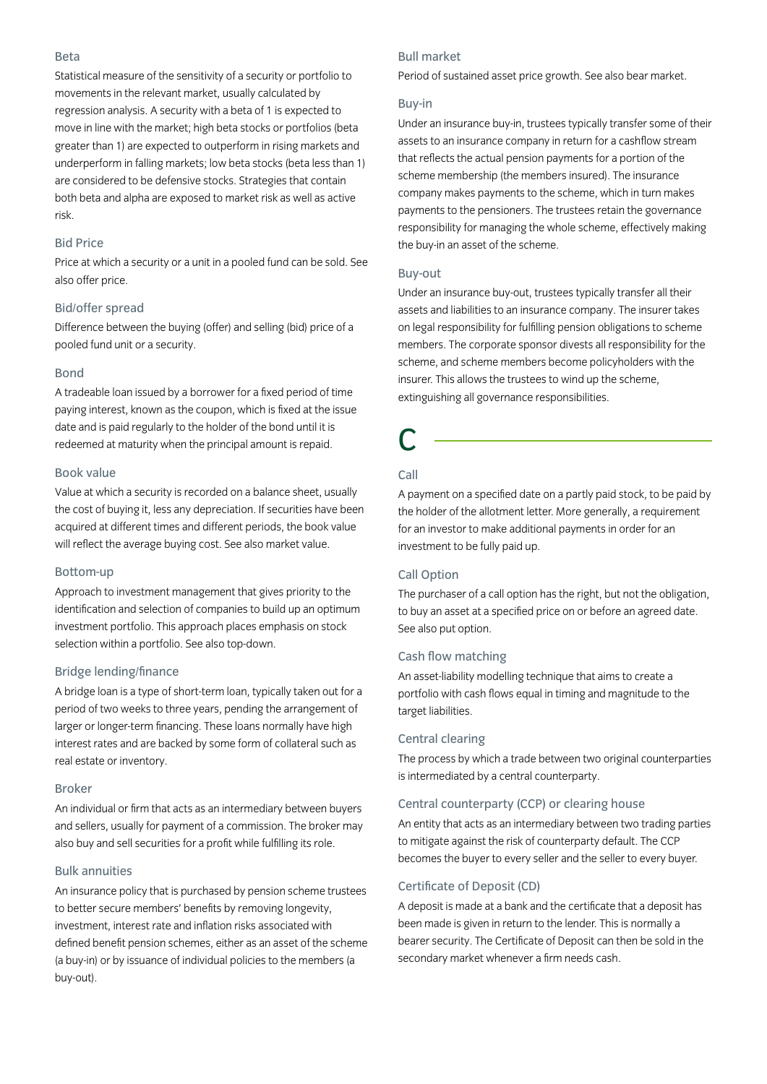#### Beta

Statistical measure of the sensitivity of a security or portfolio to movements in the relevant market, usually calculated by regression analysis. A security with a beta of 1 is expected to move in line with the market; high beta stocks or portfolios (beta greater than 1) are expected to outperform in rising markets and underperform in falling markets; low beta stocks (beta less than 1) are considered to be defensive stocks. Strategies that contain both beta and alpha are exposed to market risk as well as active risk.

## Bid Price

Price at which a security or a unit in a pooled fund can be sold. See also offer price.

## Bid/offer spread

Difference between the buying (offer) and selling (bid) price of a pooled fund unit or a security.

## Bond

A tradeable loan issued by a borrower for a fixed period of time paying interest, known as the coupon, which is fixed at the issue date and is paid regularly to the holder of the bond until it is redeemed at maturity when the principal amount is repaid.

## Book value

Value at which a security is recorded on a balance sheet, usually the cost of buying it, less any depreciation. If securities have been acquired at different times and different periods, the book value will reflect the average buying cost. See also market value.

#### Bottom-up

Approach to investment management that gives priority to the identification and selection of companies to build up an optimum investment portfolio. This approach places emphasis on stock selection within a portfolio. See also top-down.

## Bridge lending/finance

A bridge loan is a type of short-term loan, typically taken out for a period of two weeks to three years, pending the arrangement of larger or longer-term financing. These loans normally have high interest rates and are backed by some form of collateral such as real estate or inventory.

### Broker

An individual or firm that acts as an intermediary between buyers and sellers, usually for payment of a commission. The broker may also buy and sell securities for a profit while fulfilling its role.

## Bulk annuities

An insurance policy that is purchased by pension scheme trustees to better secure members' benefits by removing longevity, investment, interest rate and inflation risks associated with defined benefit pension schemes, either as an asset of the scheme (a buy-in) or by issuance of individual policies to the members (a buy-out).

## Bull market

Period of sustained asset price growth. See also bear market.

### Buy-in

Under an insurance buy-in, trustees typically transfer some of their assets to an insurance company in return for a cashflow stream that reflects the actual pension payments for a portion of the scheme membership (the members insured). The insurance company makes payments to the scheme, which in turn makes payments to the pensioners. The trustees retain the governance responsibility for managing the whole scheme, effectively making the buy-in an asset of the scheme.

## Buy-out

Under an insurance buy-out, trustees typically transfer all their assets and liabilities to an insurance company. The insurer takes on legal responsibility for fulfilling pension obligations to scheme members. The corporate sponsor divests all responsibility for the scheme, and scheme members become policyholders with the insurer. This allows the trustees to wind up the scheme, extinguishing all governance responsibilities.

## C

## Call

A payment on a specified date on a partly paid stock, to be paid by the holder of the allotment letter. More generally, a requirement for an investor to make additional payments in order for an investment to be fully paid up.

## Call Option

The purchaser of a call option has the right, but not the obligation, to buy an asset at a specified price on or before an agreed date. See also put option.

## Cash flow matching

An asset-liability modelling technique that aims to create a portfolio with cash flows equal in timing and magnitude to the target liabilities.

## Central clearing

The process by which a trade between two original counterparties is intermediated by a central counterparty.

#### Central counterparty (CCP) or clearing house

An entity that acts as an intermediary between two trading parties to mitigate against the risk of counterparty default. The CCP becomes the buyer to every seller and the seller to every buyer.

## Certificate of Deposit (CD)

A deposit is made at a bank and the certificate that a deposit has been made is given in return to the lender. This is normally a bearer security. The Certificate of Deposit can then be sold in the secondary market whenever a firm needs cash.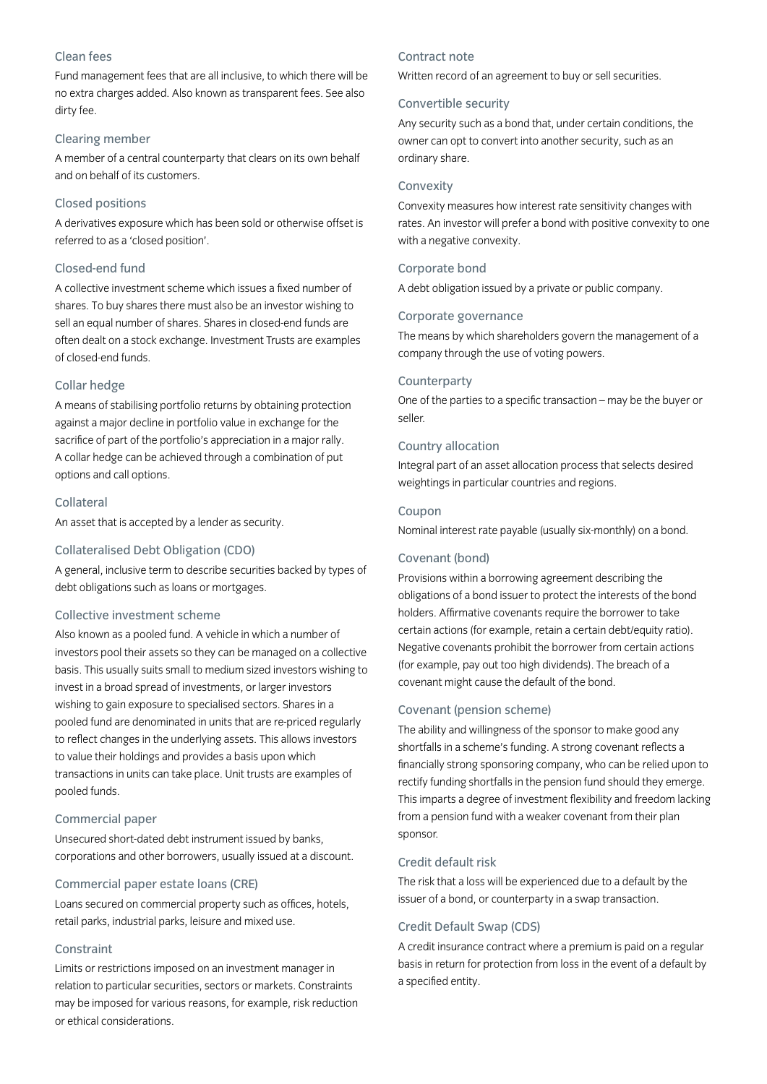## Clean fees

Fund management fees that are all inclusive, to which there will be no extra charges added. Also known as transparent fees. See also dirty fee.

## Clearing member

A member of a central counterparty that clears on its own behalf and on behalf of its customers.

## Closed positions

A derivatives exposure which has been sold or otherwise offset is referred to as a 'closed position'.

## Closed-end fund

A collective investment scheme which issues a fixed number of shares. To buy shares there must also be an investor wishing to sell an equal number of shares. Shares in closed-end funds are often dealt on a stock exchange. Investment Trusts are examples of closed-end funds.

## Collar hedge

A means of stabilising portfolio returns by obtaining protection against a major decline in portfolio value in exchange for the sacrifice of part of the portfolio's appreciation in a major rally. A collar hedge can be achieved through a combination of put options and call options.

#### Collateral

An asset that is accepted by a lender as security.

#### Collateralised Debt Obligation (CDO)

A general, inclusive term to describe securities backed by types of debt obligations such as loans or mortgages.

## Collective investment scheme

Also known as a pooled fund. A vehicle in which a number of investors pool their assets so they can be managed on a collective basis. This usually suits small to medium sized investors wishing to invest in a broad spread of investments, or larger investors wishing to gain exposure to specialised sectors. Shares in a pooled fund are denominated in units that are re-priced regularly to reflect changes in the underlying assets. This allows investors to value their holdings and provides a basis upon which transactions in units can take place. Unit trusts are examples of pooled funds.

#### Commercial paper

Unsecured short-dated debt instrument issued by banks, corporations and other borrowers, usually issued at a discount.

## Commercial paper estate loans (CRE)

Loans secured on commercial property such as offices, hotels, retail parks, industrial parks, leisure and mixed use.

## Constraint

Limits or restrictions imposed on an investment manager in relation to particular securities, sectors or markets. Constraints may be imposed for various reasons, for example, risk reduction or ethical considerations.

## Contract note

Written record of an agreement to buy or sell securities.

#### Convertible security

Any security such as a bond that, under certain conditions, the owner can opt to convert into another security, such as an ordinary share.

#### Convexity

Convexity measures how interest rate sensitivity changes with rates. An investor will prefer a bond with positive convexity to one with a negative convexity.

## Corporate bond

A debt obligation issued by a private or public company.

## Corporate governance

The means by which shareholders govern the management of a company through the use of voting powers.

#### Counterparty

One of the parties to a specific transaction – may be the buyer or seller.

## Country allocation

Integral part of an asset allocation process that selects desired weightings in particular countries and regions.

## Coupon

Nominal interest rate payable (usually six-monthly) on a bond.

## Covenant (bond)

Provisions within a borrowing agreement describing the obligations of a bond issuer to protect the interests of the bond holders. Affirmative covenants require the borrower to take certain actions (for example, retain a certain debt/equity ratio). Negative covenants prohibit the borrower from certain actions (for example, pay out too high dividends). The breach of a covenant might cause the default of the bond.

## Covenant (pension scheme)

The ability and willingness of the sponsor to make good any shortfalls in a scheme's funding. A strong covenant reflects a financially strong sponsoring company, who can be relied upon to rectify funding shortfalls in the pension fund should they emerge. This imparts a degree of investment flexibility and freedom lacking from a pension fund with a weaker covenant from their plan sponsor.

#### Credit default risk

The risk that a loss will be experienced due to a default by the issuer of a bond, or counterparty in a swap transaction.

## Credit Default Swap (CDS)

A credit insurance contract where a premium is paid on a regular basis in return for protection from loss in the event of a default by a specified entity.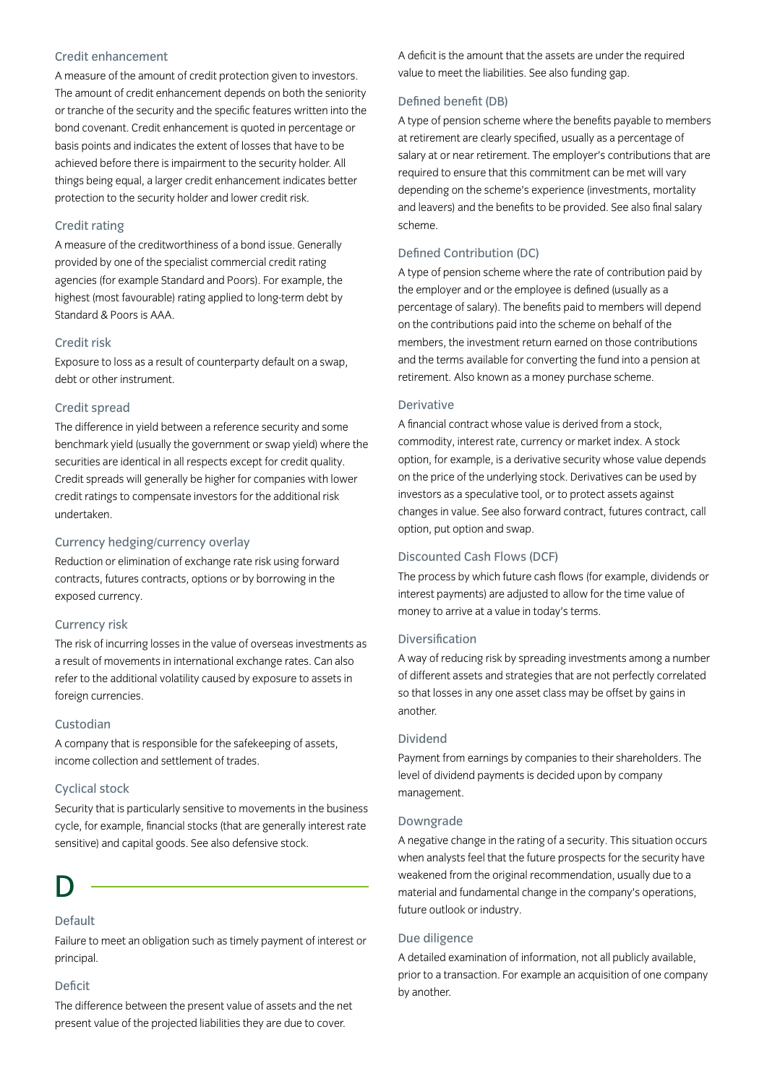## Credit enhancement

A measure of the amount of credit protection given to investors. The amount of credit enhancement depends on both the seniority or tranche of the security and the specific features written into the bond covenant. Credit enhancement is quoted in percentage or basis points and indicates the extent of losses that have to be achieved before there is impairment to the security holder. All things being equal, a larger credit enhancement indicates better protection to the security holder and lower credit risk.

## Credit rating

A measure of the creditworthiness of a bond issue. Generally provided by one of the specialist commercial credit rating agencies (for example Standard and Poors). For example, the highest (most favourable) rating applied to long-term debt by Standard & Poors is AAA.

#### Credit risk

Exposure to loss as a result of counterparty default on a swap, debt or other instrument.

## Credit spread

The difference in yield between a reference security and some benchmark yield (usually the government or swap yield) where the securities are identical in all respects except for credit quality. Credit spreads will generally be higher for companies with lower credit ratings to compensate investors for the additional risk undertaken.

## Currency hedging/currency overlay

Reduction or elimination of exchange rate risk using forward contracts, futures contracts, options or by borrowing in the exposed currency.

#### Currency risk

The risk of incurring losses in the value of overseas investments as a result of movements in international exchange rates. Can also refer to the additional volatility caused by exposure to assets in foreign currencies.

## Custodian

A company that is responsible for the safekeeping of assets, income collection and settlement of trades.

#### Cyclical stock

Security that is particularly sensitive to movements in the business cycle, for example, financial stocks (that are generally interest rate sensitive) and capital goods. See also defensive stock.

## D

## Default

Failure to meet an obligation such as timely payment of interest or principal.

## Deficit

The difference between the present value of assets and the net present value of the projected liabilities they are due to cover.

A deficit is the amount that the assets are under the required value to meet the liabilities. See also funding gap.

#### Defined benefit (DB)

A type of pension scheme where the benefits payable to members at retirement are clearly specified, usually as a percentage of salary at or near retirement. The employer's contributions that are required to ensure that this commitment can be met will vary depending on the scheme's experience (investments, mortality and leavers) and the benefits to be provided. See also final salary scheme.

## Defined Contribution (DC)

A type of pension scheme where the rate of contribution paid by the employer and or the employee is defined (usually as a percentage of salary). The benefits paid to members will depend on the contributions paid into the scheme on behalf of the members, the investment return earned on those contributions and the terms available for converting the fund into a pension at retirement. Also known as a money purchase scheme.

## Derivative

A financial contract whose value is derived from a stock, commodity, interest rate, currency or market index. A stock option, for example, is a derivative security whose value depends on the price of the underlying stock. Derivatives can be used by investors as a speculative tool, or to protect assets against changes in value. See also forward contract, futures contract, call option, put option and swap.

## Discounted Cash Flows (DCF)

The process by which future cash flows (for example, dividends or interest payments) are adjusted to allow for the time value of money to arrive at a value in today's terms.

#### Diversification

A way of reducing risk by spreading investments among a number of different assets and strategies that are not perfectly correlated so that losses in any one asset class may be offset by gains in another.

#### Dividend

Payment from earnings by companies to their shareholders. The level of dividend payments is decided upon by company management.

#### Downgrade

A negative change in the rating of a security. This situation occurs when analysts feel that the future prospects for the security have weakened from the original recommendation, usually due to a material and fundamental change in the company's operations, future outlook or industry.

#### Due diligence

A detailed examination of information, not all publicly available, prior to a transaction. For example an acquisition of one company by another.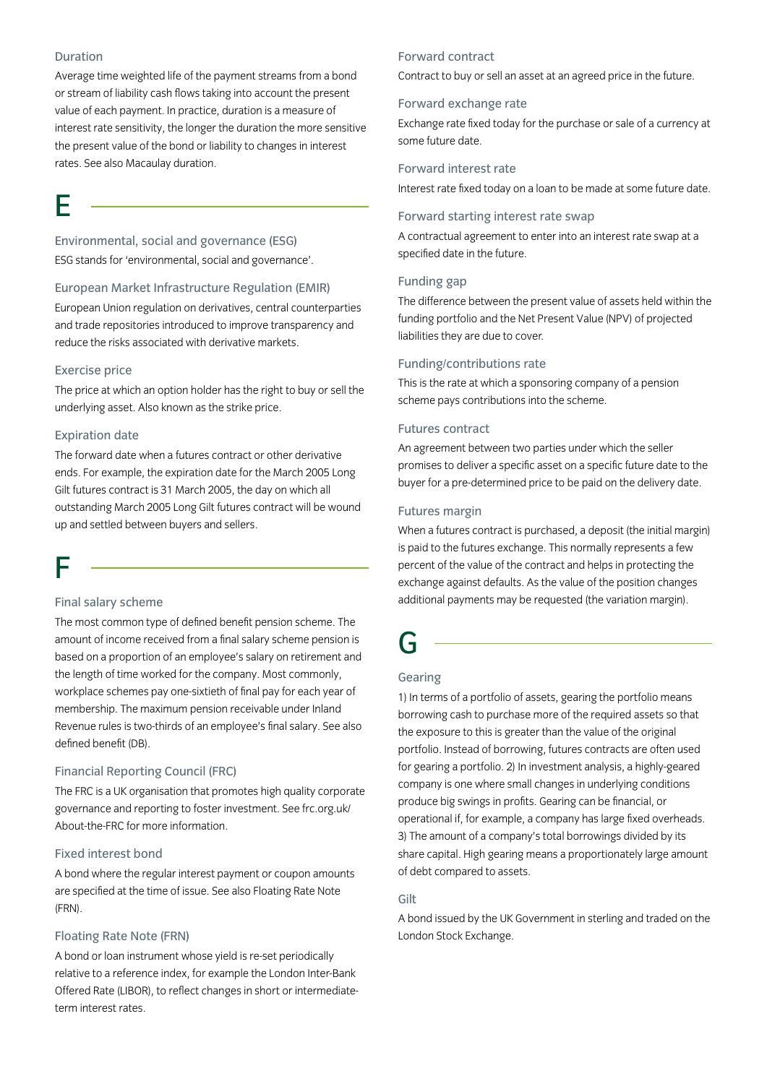## Duration

Average time weighted life of the payment streams from a bond or stream of liability cash flows taking into account the present value of each payment. In practice, duration is a measure of interest rate sensitivity, the longer the duration the more sensitive the present value of the bond or liability to changes in interest rates. See also Macaulay duration.

# E

Environmental, social and governance (ESG) ESG stands for 'environmental, social and governance'.

#### European Market Infrastructure Regulation (EMIR)

European Union regulation on derivatives, central counterparties and trade repositories introduced to improve transparency and reduce the risks associated with derivative markets.

## Exercise price

The price at which an option holder has the right to buy or sell the underlying asset. Also known as the strike price.

## Expiration date

The forward date when a futures contract or other derivative ends. For example, the expiration date for the March 2005 Long Gilt futures contract is 31 March 2005, the day on which all outstanding March 2005 Long Gilt futures contract will be wound up and settled between buyers and sellers.

# F

#### Final salary scheme

The most common type of defined benefit pension scheme. The amount of income received from a final salary scheme pension is based on a proportion of an employee's salary on retirement and the length of time worked for the company. Most commonly, workplace schemes pay one-sixtieth of final pay for each year of membership. The maximum pension receivable under Inland Revenue rules is two-thirds of an employee's final salary. See also defined benefit (DB).

## Financial Reporting Council (FRC)

The FRC is a UK organisation that promotes high quality corporate governance and reporting to foster investment. See frc.org.uk/ About-the-FRC for more information.

## Fixed interest bond

A bond where the regular interest payment or coupon amounts are specified at the time of issue. See also Floating Rate Note (FRN).

## Floating Rate Note (FRN)

A bond or loan instrument whose yield is re-set periodically relative to a reference index, for example the London Inter-Bank Offered Rate (LIBOR), to reflect changes in short or intermediateterm interest rates.

## Forward contract

Contract to buy or sell an asset at an agreed price in the future.

#### Forward exchange rate

Exchange rate fixed today for the purchase or sale of a currency at some future date.

#### Forward interest rate

Interest rate fixed today on a loan to be made at some future date.

## Forward starting interest rate swap

A contractual agreement to enter into an interest rate swap at a specified date in the future.

## Funding gap

The difference between the present value of assets held within the funding portfolio and the Net Present Value (NPV) of projected liabilities they are due to cover.

## Funding/contributions rate

This is the rate at which a sponsoring company of a pension scheme pays contributions into the scheme.

#### Futures contract

An agreement between two parties under which the seller promises to deliver a specific asset on a specific future date to the buyer for a pre-determined price to be paid on the delivery date.

#### Futures margin

When a futures contract is purchased, a deposit (the initial margin) is paid to the futures exchange. This normally represents a few percent of the value of the contract and helps in protecting the exchange against defaults. As the value of the position changes additional payments may be requested (the variation margin).

## G

## Gearing

1) In terms of a portfolio of assets, gearing the portfolio means borrowing cash to purchase more of the required assets so that the exposure to this is greater than the value of the original portfolio. Instead of borrowing, futures contracts are often used for gearing a portfolio. 2) In investment analysis, a highly-geared company is one where small changes in underlying conditions produce big swings in profits. Gearing can be financial, or operational if, for example, a company has large fixed overheads. 3) The amount of a company's total borrowings divided by its share capital. High gearing means a proportionately large amount of debt compared to assets.

#### Gilt

A bond issued by the UK Government in sterling and traded on the London Stock Exchange.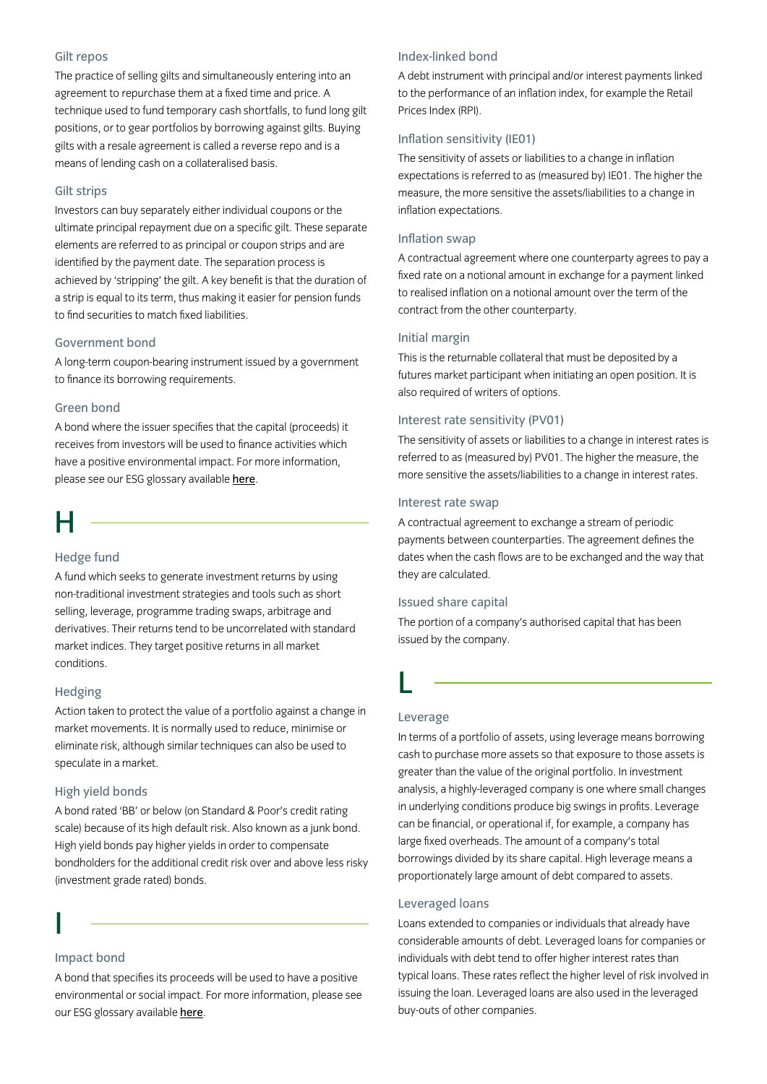## Gilt repos

The practice of selling gilts and simultaneously entering into an agreement to repurchase them at a fixed time and price. A technique used to fund temporary cash shortfalls, to fund long gilt positions, or to gear portfolios by borrowing against gilts. Buying gilts with a resale agreement is called a reverse repo and is a means of lending cash on a collateralised basis.

## Gilt strips

Investors can buy separately either individual coupons or the ultimate principal repayment due on a specific gilt. These separate elements are referred to as principal or coupon strips and are identified by the payment date. The separation process is achieved by 'stripping' the gilt. A key benefit is that the duration of a strip is equal to its term, thus making it easier for pension funds to find securities to match fixed liabilities.

#### Government bond

A long-term coupon-bearing instrument issued by a government to finance its borrowing requirements.

## Green bond

A bond where the issuer specifies that the capital (proceeds) it receives from investors will be used to finance activities which have a positive environmental impact. For more information, please see our ESG glossary available [here](https://www.insightinvestment.com/globalassets/documents/useful-investor-information/esg-glossary.pdf).

## H

## Hedge fund

A fund which seeks to generate investment returns by using non-traditional investment strategies and tools such as short selling, leverage, programme trading swaps, arbitrage and derivatives. Their returns tend to be uncorrelated with standard market indices. They target positive returns in all market conditions.

## Hedging

Action taken to protect the value of a portfolio against a change in market movements. It is normally used to reduce, minimise or eliminate risk, although similar techniques can also be used to speculate in a market.

## High yield bonds

A bond rated 'BB' or below (on Standard & Poor's credit rating scale) because of its high default risk. Also known as a junk bond. High yield bonds pay higher yields in order to compensate bondholders for the additional credit risk over and above less risky (investment grade rated) bonds.

## I

### Impact bond

A bond that specifies its proceeds will be used to have a positive environmental or social impact. For more information, please see our ESG glossary available [here](https://www.insightinvestment.com/globalassets/documents/useful-investor-information/esg-glossary.pdf).

## Index-linked bond

A debt instrument with principal and/or interest payments linked to the performance of an inflation index, for example the Retail Prices Index (RPI).

## Inflation sensitivity (IE01)

The sensitivity of assets or liabilities to a change in inflation expectations is referred to as (measured by) IE01. The higher the measure, the more sensitive the assets/liabilities to a change in inflation expectations.

#### Inflation swap

A contractual agreement where one counterparty agrees to pay a fixed rate on a notional amount in exchange for a payment linked to realised inflation on a notional amount over the term of the contract from the other counterparty.

## Initial margin

This is the returnable collateral that must be deposited by a futures market participant when initiating an open position. It is also required of writers of options.

## Interest rate sensitivity (PV01)

The sensitivity of assets or liabilities to a change in interest rates is referred to as (measured by) PV01. The higher the measure, the more sensitive the assets/liabilities to a change in interest rates.

## Interest rate swap

A contractual agreement to exchange a stream of periodic payments between counterparties. The agreement defines the dates when the cash flows are to be exchanged and the way that they are calculated.

#### Issued share capital

The portion of a company's authorised capital that has been issued by the company.

## Leverage

L

In terms of a portfolio of assets, using leverage means borrowing cash to purchase more assets so that exposure to those assets is greater than the value of the original portfolio. In investment analysis, a highly-leveraged company is one where small changes in underlying conditions produce big swings in profits. Leverage can be financial, or operational if, for example, a company has large fixed overheads. The amount of a company's total borrowings divided by its share capital. High leverage means a proportionately large amount of debt compared to assets.

#### Leveraged loans

Loans extended to companies or individuals that already have considerable amounts of debt. Leveraged loans for companies or individuals with debt tend to offer higher interest rates than typical loans. These rates reflect the higher level of risk involved in issuing the loan. Leveraged loans are also used in the leveraged buy-outs of other companies.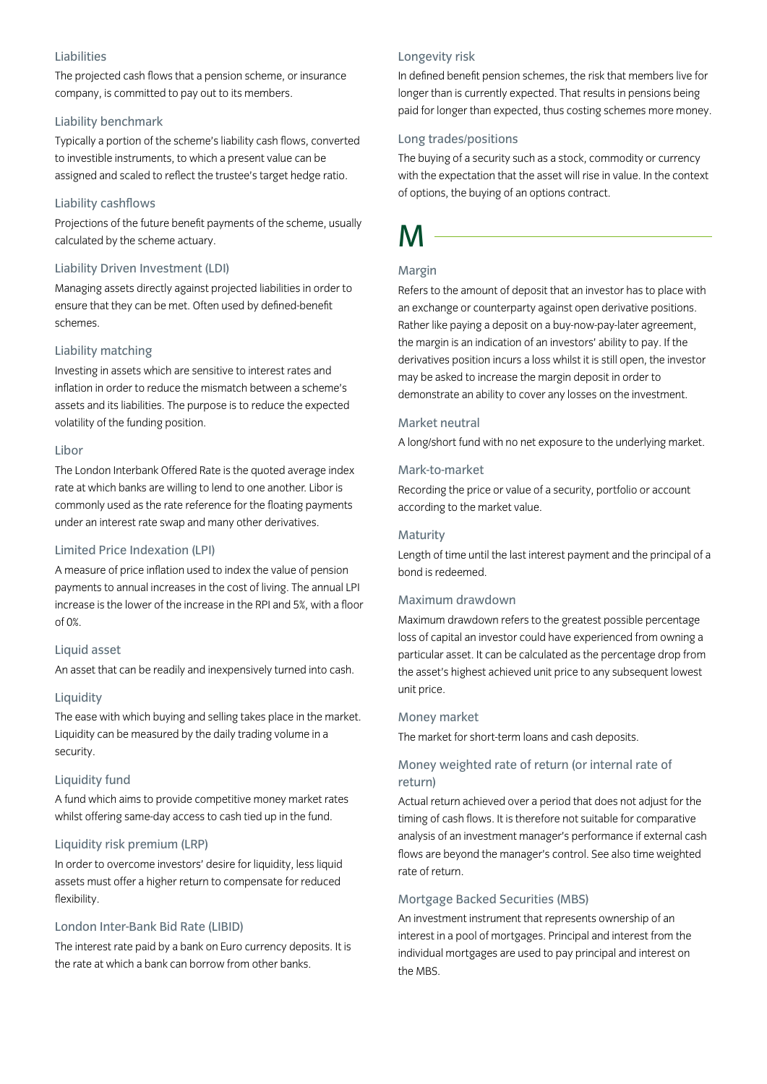## Liabilities

The projected cash flows that a pension scheme, or insurance company, is committed to pay out to its members.

### Liability benchmark

Typically a portion of the scheme's liability cash flows, converted to investible instruments, to which a present value can be assigned and scaled to reflect the trustee's target hedge ratio.

## Liability cashflows

Projections of the future benefit payments of the scheme, usually calculated by the scheme actuary.

### Liability Driven Investment (LDI)

Managing assets directly against projected liabilities in order to ensure that they can be met. Often used by defined-benefit schemes.

## Liability matching

Investing in assets which are sensitive to interest rates and inflation in order to reduce the mismatch between a scheme's assets and its liabilities. The purpose is to reduce the expected volatility of the funding position.

## Libor

The London Interbank Offered Rate is the quoted average index rate at which banks are willing to lend to one another. Libor is commonly used as the rate reference for the floating payments under an interest rate swap and many other derivatives.

## Limited Price Indexation (LPI)

A measure of price inflation used to index the value of pension payments to annual increases in the cost of living. The annual LPI increase is the lower of the increase in the RPI and 5%, with a floor of 0%.

## Liquid asset

An asset that can be readily and inexpensively turned into cash.

## Liquidity

The ease with which buying and selling takes place in the market. Liquidity can be measured by the daily trading volume in a security.

## Liquidity fund

A fund which aims to provide competitive money market rates whilst offering same-day access to cash tied up in the fund.

## Liquidity risk premium (LRP)

In order to overcome investors' desire for liquidity, less liquid assets must offer a higher return to compensate for reduced flexibility.

## London Inter-Bank Bid Rate (LIBID)

The interest rate paid by a bank on Euro currency deposits. It is the rate at which a bank can borrow from other banks.

#### Longevity risk

In defined benefit pension schemes, the risk that members live for longer than is currently expected. That results in pensions being paid for longer than expected, thus costing schemes more money.

## Long trades/positions

The buying of a security such as a stock, commodity or currency with the expectation that the asset will rise in value. In the context of options, the buying of an options contract.

# M

## Margin

Refers to the amount of deposit that an investor has to place with an exchange or counterparty against open derivative positions. Rather like paying a deposit on a buy-now-pay-later agreement, the margin is an indication of an investors' ability to pay. If the derivatives position incurs a loss whilst it is still open, the investor may be asked to increase the margin deposit in order to demonstrate an ability to cover any losses on the investment.

## Market neutral

A long/short fund with no net exposure to the underlying market.

## Mark-to-market

Recording the price or value of a security, portfolio or account according to the market value.

#### Maturity

Length of time until the last interest payment and the principal of a bond is redeemed.

## Maximum drawdown

Maximum drawdown refers to the greatest possible percentage loss of capital an investor could have experienced from owning a particular asset. It can be calculated as the percentage drop from the asset's highest achieved unit price to any subsequent lowest unit price.

#### Money market

The market for short-term loans and cash deposits.

## Money weighted rate of return (or internal rate of return)

Actual return achieved over a period that does not adjust for the timing of cash flows. It is therefore not suitable for comparative analysis of an investment manager's performance if external cash flows are beyond the manager's control. See also time weighted rate of return.

#### Mortgage Backed Securities (MBS)

An investment instrument that represents ownership of an interest in a pool of mortgages. Principal and interest from the individual mortgages are used to pay principal and interest on the MBS.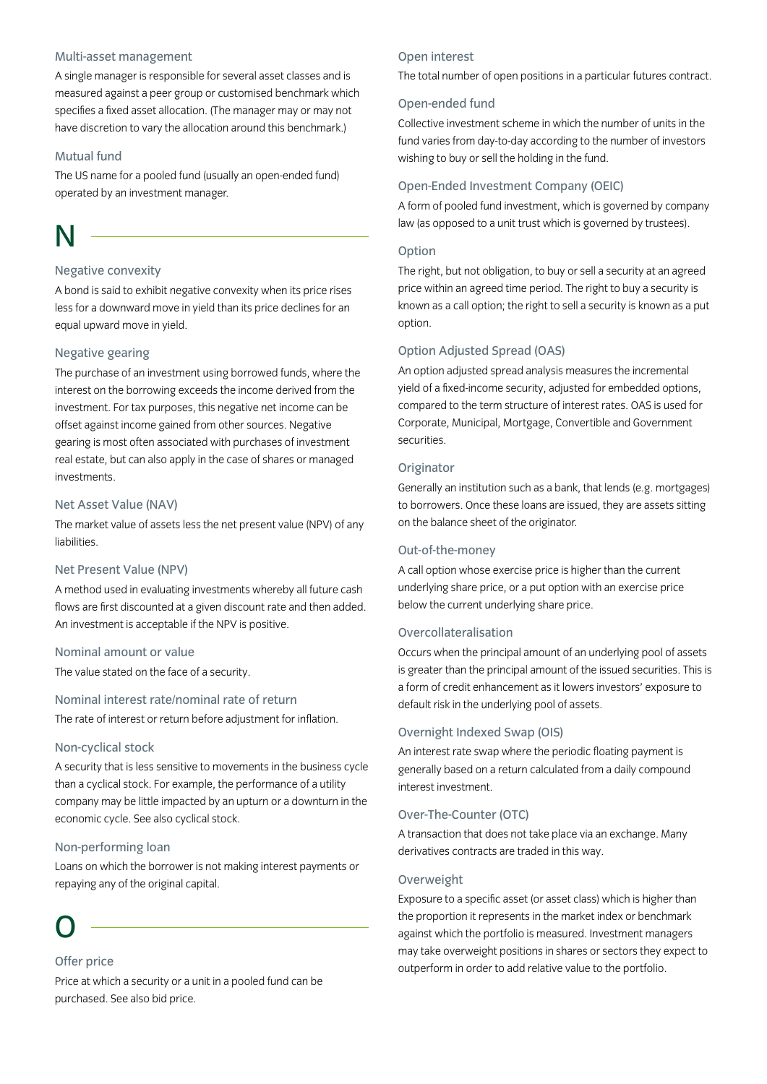## Multi-asset management

A single manager is responsible for several asset classes and is measured against a peer group or customised benchmark which specifies a fixed asset allocation. (The manager may or may not have discretion to vary the allocation around this benchmark.)

### Mutual fund

The US name for a pooled fund (usually an open-ended fund) operated by an investment manager.

# N

## Negative convexity

A bond is said to exhibit negative convexity when its price rises less for a downward move in yield than its price declines for an equal upward move in yield.

## Negative gearing

The purchase of an investment using borrowed funds, where the interest on the borrowing exceeds the income derived from the investment. For tax purposes, this negative net income can be offset against income gained from other sources. Negative gearing is most often associated with purchases of investment real estate, but can also apply in the case of shares or managed investments.

## Net Asset Value (NAV)

The market value of assets less the net present value (NPV) of any liabilities.

### Net Present Value (NPV)

A method used in evaluating investments whereby all future cash flows are first discounted at a given discount rate and then added. An investment is acceptable if the NPV is positive.

#### Nominal amount or value

The value stated on the face of a security.

Nominal interest rate/nominal rate of return The rate of interest or return before adjustment for inflation.

#### Non-cyclical stock

A security that is less sensitive to movements in the business cycle than a cyclical stock. For example, the performance of a utility company may be little impacted by an upturn or a downturn in the economic cycle. See also cyclical stock.

#### Non-performing loan

Loans on which the borrower is not making interest payments or repaying any of the original capital.

# O

## Offer price

Price at which a security or a unit in a pooled fund can be purchased. See also bid price.

#### Open interest

The total number of open positions in a particular futures contract.

## Open-ended fund

Collective investment scheme in which the number of units in the fund varies from day-to-day according to the number of investors wishing to buy or sell the holding in the fund.

## Open-Ended Investment Company (OEIC)

A form of pooled fund investment, which is governed by company law (as opposed to a unit trust which is governed by trustees).

#### Option

The right, but not obligation, to buy or sell a security at an agreed price within an agreed time period. The right to buy a security is known as a call option; the right to sell a security is known as a put option.

## Option Adjusted Spread (OAS)

An option adjusted spread analysis measures the incremental yield of a fixed-income security, adjusted for embedded options, compared to the term structure of interest rates. OAS is used for Corporate, Municipal, Mortgage, Convertible and Government securities.

#### **Originator**

Generally an institution such as a bank, that lends (e.g. mortgages) to borrowers. Once these loans are issued, they are assets sitting on the balance sheet of the originator.

#### Out-of-the-money

A call option whose exercise price is higher than the current underlying share price, or a put option with an exercise price below the current underlying share price.

#### Overcollateralisation

Occurs when the principal amount of an underlying pool of assets is greater than the principal amount of the issued securities. This is a form of credit enhancement as it lowers investors' exposure to default risk in the underlying pool of assets.

#### Overnight Indexed Swap (OIS)

An interest rate swap where the periodic floating payment is generally based on a return calculated from a daily compound interest investment.

#### Over-The-Counter (OTC)

A transaction that does not take place via an exchange. Many derivatives contracts are traded in this way.

#### Overweight

Exposure to a specific asset (or asset class) which is higher than the proportion it represents in the market index or benchmark against which the portfolio is measured. Investment managers may take overweight positions in shares or sectors they expect to outperform in order to add relative value to the portfolio.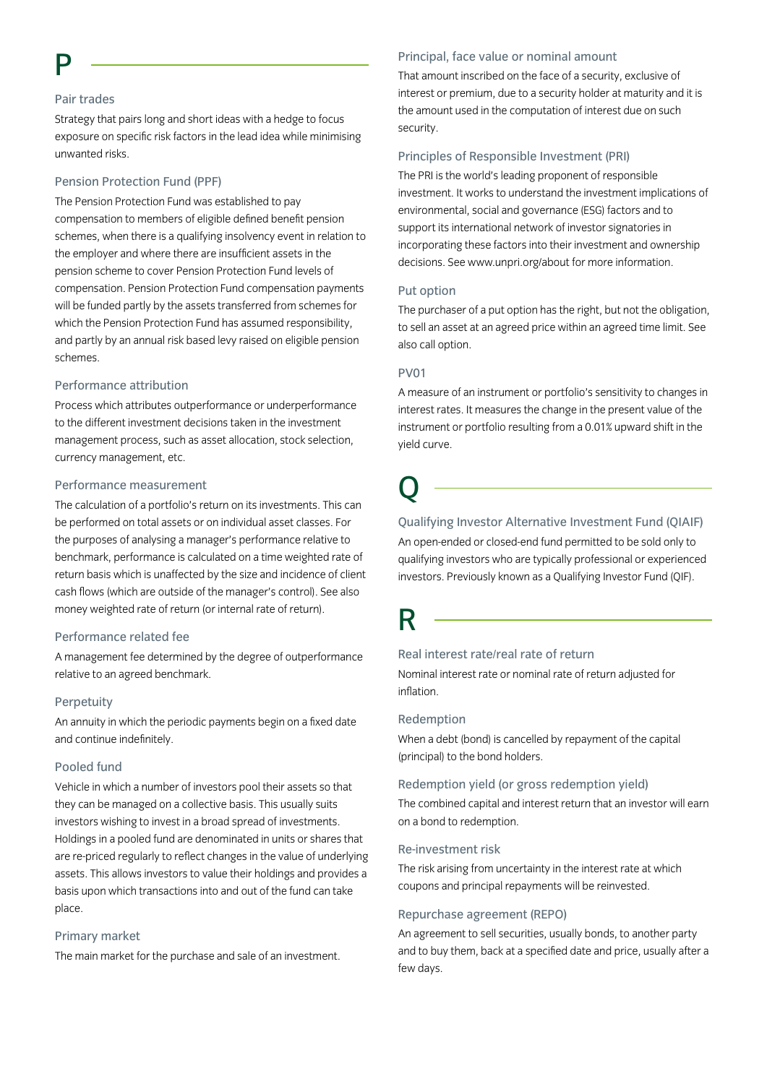## Pair trades

Strategy that pairs long and short ideas with a hedge to focus exposure on specific risk factors in the lead idea while minimising unwanted risks.

## Pension Protection Fund (PPF)

The Pension Protection Fund was established to pay compensation to members of eligible defined benefit pension schemes, when there is a qualifying insolvency event in relation to the employer and where there are insufficient assets in the pension scheme to cover Pension Protection Fund levels of compensation. Pension Protection Fund compensation payments will be funded partly by the assets transferred from schemes for which the Pension Protection Fund has assumed responsibility, and partly by an annual risk based levy raised on eligible pension schemes.

#### Performance attribution

Process which attributes outperformance or underperformance to the different investment decisions taken in the investment management process, such as asset allocation, stock selection, currency management, etc.

### Performance measurement

The calculation of a portfolio's return on its investments. This can be performed on total assets or on individual asset classes. For the purposes of analysing a manager's performance relative to benchmark, performance is calculated on a time weighted rate of return basis which is unaffected by the size and incidence of client cash flows (which are outside of the manager's control). See also money weighted rate of return (or internal rate of return).

## Performance related fee

A management fee determined by the degree of outperformance relative to an agreed benchmark.

## Perpetuity

An annuity in which the periodic payments begin on a fixed date and continue indefinitely.

## Pooled fund

Vehicle in which a number of investors pool their assets so that they can be managed on a collective basis. This usually suits investors wishing to invest in a broad spread of investments. Holdings in a pooled fund are denominated in units or shares that are re-priced regularly to reflect changes in the value of underlying assets. This allows investors to value their holdings and provides a basis upon which transactions into and out of the fund can take place.

## Primary market

The main market for the purchase and sale of an investment.

#### Principal, face value or nominal amount

That amount inscribed on the face of a security, exclusive of interest or premium, due to a security holder at maturity and it is the amount used in the computation of interest due on such security.

### Principles of Responsible Investment (PRI)

The PRI is the world's leading proponent of responsible investment. It works to understand the investment implications of environmental, social and governance (ESG) factors and to support its international network of investor signatories in incorporating these factors into their investment and ownership decisions. See www.unpri.org/about for more information.

#### Put option

The purchaser of a put option has the right, but not the obligation, to sell an asset at an agreed price within an agreed time limit. See also call option.

### PV01

A measure of an instrument or portfolio's sensitivity to changes in interest rates. It measures the change in the present value of the instrument or portfolio resulting from a 0.01% upward shift in the yield curve.

# Q

## Qualifying Investor Alternative Investment Fund (QIAIF)

An open-ended or closed-end fund permitted to be sold only to qualifying investors who are typically professional or experienced investors. Previously known as a Qualifying Investor Fund (QIF).

## R

## Real interest rate/real rate of return

Nominal interest rate or nominal rate of return adjusted for inflation.

#### Redemption

When a debt (bond) is cancelled by repayment of the capital (principal) to the bond holders.

## Redemption yield (or gross redemption yield)

The combined capital and interest return that an investor will earn on a bond to redemption.

#### Re-investment risk

The risk arising from uncertainty in the interest rate at which coupons and principal repayments will be reinvested.

## Repurchase agreement (REPO)

An agreement to sell securities, usually bonds, to another party and to buy them, back at a specified date and price, usually after a few days.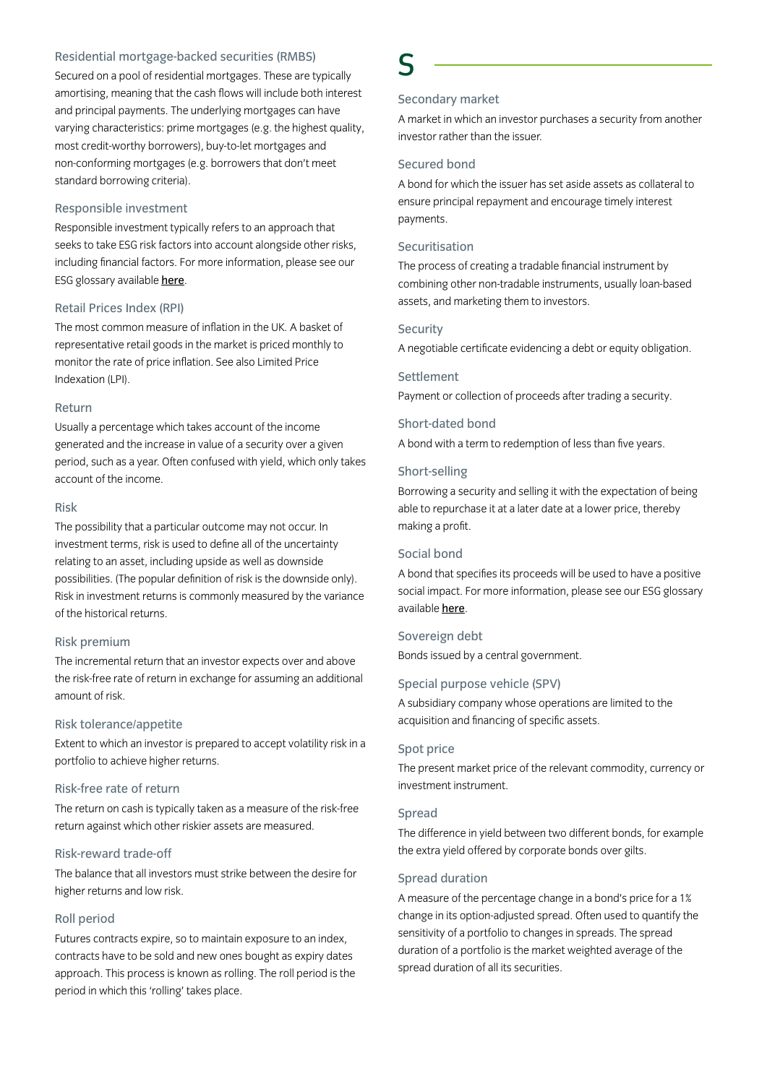## Residential mortgage-backed securities (RMBS)

Secured on a pool of residential mortgages. These are typically amortising, meaning that the cash flows will include both interest and principal payments. The underlying mortgages can have varying characteristics: prime mortgages (e.g. the highest quality, most credit-worthy borrowers), buy-to-let mortgages and non-conforming mortgages (e.g. borrowers that don't meet standard borrowing criteria).

#### Responsible investment

Responsible investment typically refers to an approach that seeks to take ESG risk factors into account alongside other risks, including financial factors. For more information, please see our ESG glossary available [here](https://www.insightinvestment.com/globalassets/documents/useful-investor-information/esg-glossary.pdf).

## Retail Prices Index (RPI)

The most common measure of inflation in the UK. A basket of representative retail goods in the market is priced monthly to monitor the rate of price inflation. See also Limited Price Indexation (LPI).

#### Return

Usually a percentage which takes account of the income generated and the increase in value of a security over a given period, such as a year. Often confused with yield, which only takes account of the income.

#### Risk

The possibility that a particular outcome may not occur. In investment terms, risk is used to define all of the uncertainty relating to an asset, including upside as well as downside possibilities. (The popular definition of risk is the downside only). Risk in investment returns is commonly measured by the variance of the historical returns.

#### Risk premium

The incremental return that an investor expects over and above the risk-free rate of return in exchange for assuming an additional amount of risk.

## Risk tolerance/appetite

Extent to which an investor is prepared to accept volatility risk in a portfolio to achieve higher returns.

#### Risk-free rate of return

The return on cash is typically taken as a measure of the risk-free return against which other riskier assets are measured.

## Risk-reward trade-off

The balance that all investors must strike between the desire for higher returns and low risk.

#### Roll period

Futures contracts expire, so to maintain exposure to an index, contracts have to be sold and new ones bought as expiry dates approach. This process is known as rolling. The roll period is the period in which this 'rolling' takes place.

## S

## Secondary market

A market in which an investor purchases a security from another investor rather than the issuer.

## Secured bond

A bond for which the issuer has set aside assets as collateral to ensure principal repayment and encourage timely interest payments.

## Securitisation

The process of creating a tradable financial instrument by combining other non-tradable instruments, usually loan-based assets, and marketing them to investors.

#### **Security**

A negotiable certificate evidencing a debt or equity obligation.

#### **Settlement**

Payment or collection of proceeds after trading a security.

#### Short-dated bond

A bond with a term to redemption of less than five years.

### Short-selling

Borrowing a security and selling it with the expectation of being able to repurchase it at a later date at a lower price, thereby making a profit.

## Social bond

A bond that specifies its proceeds will be used to have a positive social impact. For more information, please see our ESG glossary available [here](https://www.insightinvestment.com/globalassets/documents/useful-investor-information/esg-glossary.pd).

## Sovereign debt

Bonds issued by a central government.

## Special purpose vehicle (SPV)

A subsidiary company whose operations are limited to the acquisition and financing of specific assets.

#### Spot price

The present market price of the relevant commodity, currency or investment instrument.

## Spread

The difference in yield between two different bonds, for example the extra yield offered by corporate bonds over gilts.

## Spread duration

A measure of the percentage change in a bond's price for a 1% change in its option-adjusted spread. Often used to quantify the sensitivity of a portfolio to changes in spreads. The spread duration of a portfolio is the market weighted average of the spread duration of all its securities.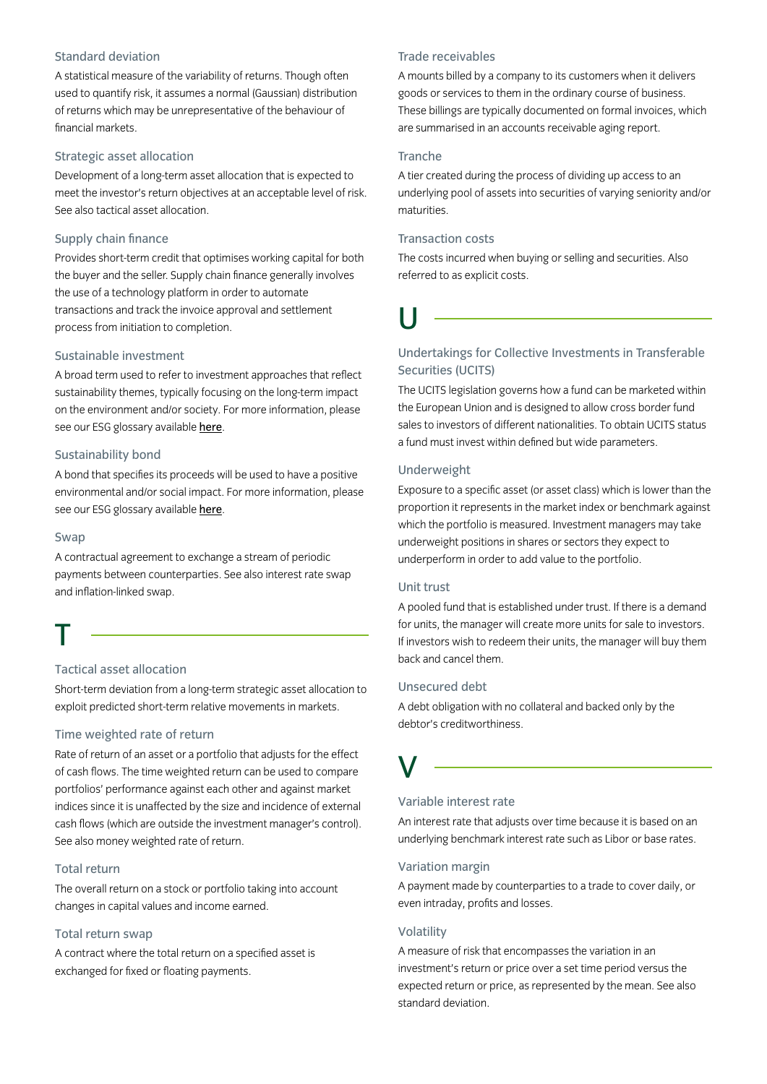## Standard deviation

A statistical measure of the variability of returns. Though often used to quantify risk, it assumes a normal (Gaussian) distribution of returns which may be unrepresentative of the behaviour of financial markets.

### Strategic asset allocation

Development of a long-term asset allocation that is expected to meet the investor's return objectives at an acceptable level of risk. See also tactical asset allocation.

## Supply chain finance

Provides short-term credit that optimises working capital for both the buyer and the seller. Supply chain finance generally involves the use of a technology platform in order to automate transactions and track the invoice approval and settlement process from initiation to completion.

#### Sustainable investment

A broad term used to refer to investment approaches that reflect sustainability themes, typically focusing on the long-term impact on the environment and/or society. For more information, please see our ESG glossary available [here](https://www.insightinvestment.com/globalassets/documents/useful-investor-information/esg-glossary.pdf).

## Sustainability bond

A bond that specifies its proceeds will be used to have a positive environmental and/or social impact. For more information, please see our ESG glossary available [here](https://www.insightinvestment.com/globalassets/documents/useful-investor-information/esg-glossary.pdf).

#### Swap

A contractual agreement to exchange a stream of periodic payments between counterparties. See also interest rate swap and inflation-linked swap.

## T

## Tactical asset allocation

Short-term deviation from a long-term strategic asset allocation to exploit predicted short-term relative movements in markets.

#### Time weighted rate of return

Rate of return of an asset or a portfolio that adjusts for the effect of cash flows. The time weighted return can be used to compare portfolios' performance against each other and against market indices since it is unaffected by the size and incidence of external cash flows (which are outside the investment manager's control). See also money weighted rate of return.

## Total return

The overall return on a stock or portfolio taking into account changes in capital values and income earned.

#### Total return swap

A contract where the total return on a specified asset is exchanged for fixed or floating payments.

## Trade receivables

A mounts billed by a company to its customers when it delivers goods or services to them in the ordinary course of business. These billings are typically documented on formal invoices, which are summarised in an accounts receivable aging report.

#### **Tranche**

A tier created during the process of dividing up access to an underlying pool of assets into securities of varying seniority and/or maturities.

## Transaction costs

The costs incurred when buying or selling and securities. Also referred to as explicit costs.

U

## Undertakings for Collective Investments in Transferable Securities (UCITS)

The UCITS legislation governs how a fund can be marketed within the European Union and is designed to allow cross border fund sales to investors of different nationalities. To obtain UCITS status a fund must invest within defined but wide parameters.

## Underweight

Exposure to a specific asset (or asset class) which is lower than the proportion it represents in the market index or benchmark against which the portfolio is measured. Investment managers may take underweight positions in shares or sectors they expect to underperform in order to add value to the portfolio.

## Unit trust

A pooled fund that is established under trust. If there is a demand for units, the manager will create more units for sale to investors. If investors wish to redeem their units, the manager will buy them back and cancel them.

## Unsecured debt

A debt obligation with no collateral and backed only by the debtor's creditworthiness.

## V

## Variable interest rate

An interest rate that adjusts over time because it is based on an underlying benchmark interest rate such as Libor or base rates.

#### Variation margin

A payment made by counterparties to a trade to cover daily, or even intraday, profits and losses.

#### Volatility

A measure of risk that encompasses the variation in an investment's return or price over a set time period versus the expected return or price, as represented by the mean. See also standard deviation.